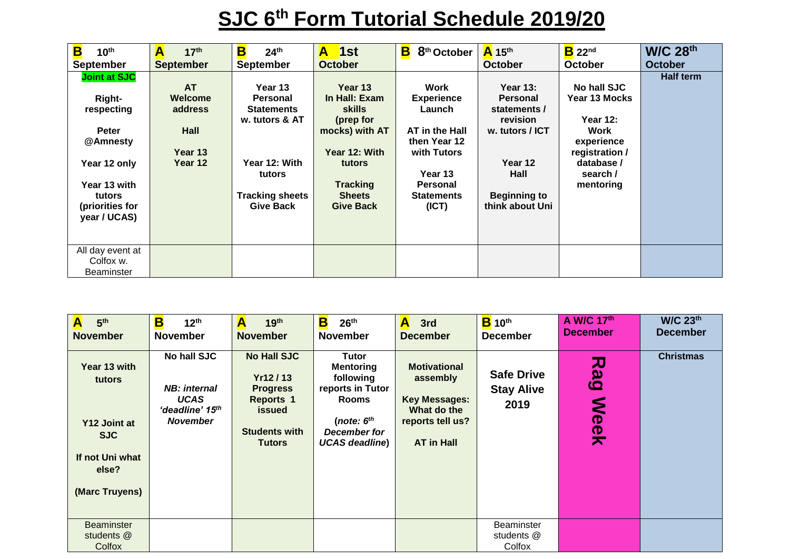## **SJC 6th Form Tutorial Schedule 2019/20**

| B<br>10 <sup>th</sup>                                                                                             | A<br>17 <sup>th</sup>                                         | B<br>24 <sup>th</sup>                                                                                           | $\overline{\phantom{a}}$ 1st<br>A                                                                                                       | B<br>8 <sup>th</sup> October                                                                                                            | $A$ 15 <sup>th</sup>                                                                                                   | $B$ 22 <sup>nd</sup>                                                                                                    | <b>W/C 28th</b>  |
|-------------------------------------------------------------------------------------------------------------------|---------------------------------------------------------------|-----------------------------------------------------------------------------------------------------------------|-----------------------------------------------------------------------------------------------------------------------------------------|-----------------------------------------------------------------------------------------------------------------------------------------|------------------------------------------------------------------------------------------------------------------------|-------------------------------------------------------------------------------------------------------------------------|------------------|
| <b>September</b>                                                                                                  | <b>September</b>                                              | <b>September</b>                                                                                                | <b>October</b>                                                                                                                          |                                                                                                                                         | <b>October</b>                                                                                                         | <b>October</b>                                                                                                          | <b>October</b>   |
| <b>Joint at SJC</b><br>Right-<br>respecting<br><b>Peter</b><br>@Amnesty<br>Year 12 only<br>Year 13 with<br>tutors | <b>AT</b><br>Welcome<br>address<br>Hall<br>Year 13<br>Year 12 | Year 13<br>Personal<br><b>Statements</b><br>w. tutors & AT<br>Year 12: With<br>tutors<br><b>Tracking sheets</b> | Year 13<br>In Hall: Exam<br><b>skills</b><br>(prep for<br>mocks) with AT<br>Year 12: With<br>tutors<br><b>Tracking</b><br><b>Sheets</b> | Work<br><b>Experience</b><br>Launch<br>AT in the Hall<br>then Year 12<br>with Tutors<br>Year 13<br><b>Personal</b><br><b>Statements</b> | Year $13:$<br><b>Personal</b><br>statements /<br>revision<br>w. tutors / ICT<br>Year 12<br>Hall<br><b>Beginning to</b> | No hall SJC<br>Year 13 Mocks<br>Year 12:<br>Work<br>experience<br>registration /<br>database /<br>search /<br>mentoring | <b>Half term</b> |
| (priorities for<br>year / UCAS)<br>All day event at                                                               |                                                               | <b>Give Back</b>                                                                                                | <b>Give Back</b>                                                                                                                        | (ICT)                                                                                                                                   | think about Uni                                                                                                        |                                                                                                                         |                  |
| Colfox w.<br><b>Beaminster</b>                                                                                    |                                                               |                                                                                                                 |                                                                                                                                         |                                                                                                                                         |                                                                                                                        |                                                                                                                         |                  |

| A<br>5 <sup>th</sup><br><b>November</b>                                                            | B<br>12 <sup>th</sup><br><b>November</b>                                                 | A<br>19 <sup>th</sup><br><b>November</b>                                                                                       | B<br>26 <sup>th</sup><br><b>November</b>                                                                                                   | A<br>3rd<br><b>December</b>                                                                                     | $B$ 10 <sup>th</sup><br><b>December</b>        | A W/C 17th<br><b>December</b>                                      | <b>W/C 23th</b><br><b>December</b> |
|----------------------------------------------------------------------------------------------------|------------------------------------------------------------------------------------------|--------------------------------------------------------------------------------------------------------------------------------|--------------------------------------------------------------------------------------------------------------------------------------------|-----------------------------------------------------------------------------------------------------------------|------------------------------------------------|--------------------------------------------------------------------|------------------------------------|
| Year 13 with<br>tutors<br>Y12 Joint at<br><b>SJC</b><br>If not Uni what<br>else?<br>(Marc Truyens) | No hall SJC<br><b>NB</b> : internal<br><b>UCAS</b><br>'deadline' 15th<br><b>November</b> | <b>No Hall SJC</b><br>Yr12/13<br><b>Progress</b><br><b>Reports 1</b><br><b>issued</b><br><b>Students with</b><br><b>Tutors</b> | <b>Tutor</b><br><b>Mentoring</b><br>following<br>reports in Tutor<br><b>Rooms</b><br>(note: $6th$<br>December for<br><b>UCAS deadline)</b> | <b>Motivational</b><br>assembly<br><b>Key Messages:</b><br>What do the<br>reports tell us?<br><b>AT in Hall</b> | <b>Safe Drive</b><br><b>Stay Alive</b><br>2019 | ᅎ<br>$\boldsymbol{\omega}$<br>$\boldsymbol{\omega}$<br><b>Meek</b> | <b>Christmas</b>                   |
| <b>Beaminster</b><br>students @<br>Colfox                                                          |                                                                                          |                                                                                                                                |                                                                                                                                            |                                                                                                                 | Beaminster<br>students @<br>Colfox             |                                                                    |                                    |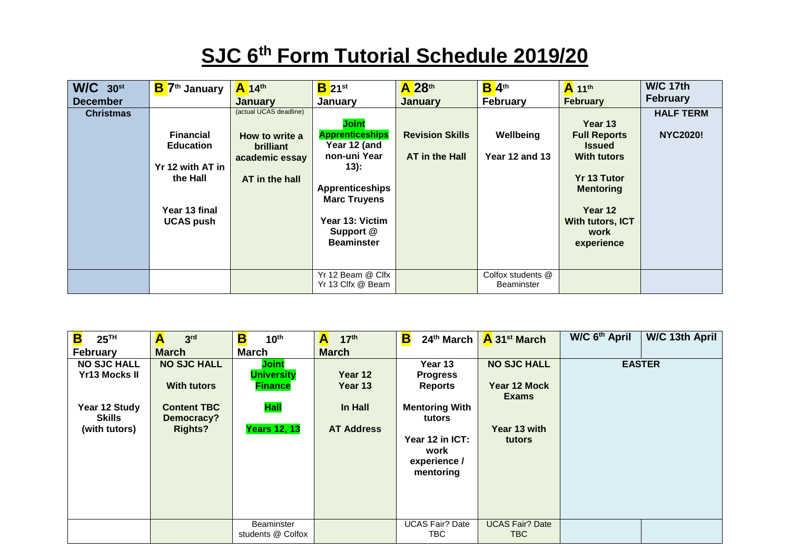## **SJC 6th Form Tutorial Schedule 2019/20**

| $W/C$ 30st<br><b>December</b><br><b>Christmas</b> | B <sup>7th</sup> January<br><b>Financial</b><br><b>Education</b><br>Yr 12 with AT in<br>the Hall<br>Year 13 final<br><b>UCAS push</b> | $A$ 14 <sup>th</sup><br><b>January</b><br>(actual UCAS deadline)<br>How to write a<br><b>brilliant</b><br>academic essay<br>AT in the hall | $B_{21}$ st<br>January<br><b>Joint</b><br><b>Apprenticeships</b><br>Year 12 (and<br>non-uni Year<br>$13)$ :<br><b>Apprenticeships</b><br><b>Marc Truyens</b><br>Year 13: Victim<br>Support @ | A 28th<br><b>January</b><br><b>Revision Skills</b><br>AT in the Hall | $B$ 4 <sup>th</sup><br><b>February</b><br>Wellbeing<br><b>Year 12 and 13</b> | A 11th<br><b>February</b><br>Year 13<br><b>Full Reports</b><br><b>Issued</b><br><b>With tutors</b><br><b>Yr 13 Tutor</b><br><b>Mentoring</b><br>Year 12<br>With tutors, ICT<br>work | <b>W/C 17th</b><br><b>February</b><br><b>HALF TERM</b><br><b>NYC2020!</b> |
|---------------------------------------------------|---------------------------------------------------------------------------------------------------------------------------------------|--------------------------------------------------------------------------------------------------------------------------------------------|----------------------------------------------------------------------------------------------------------------------------------------------------------------------------------------------|----------------------------------------------------------------------|------------------------------------------------------------------------------|-------------------------------------------------------------------------------------------------------------------------------------------------------------------------------------|---------------------------------------------------------------------------|
|                                                   |                                                                                                                                       |                                                                                                                                            | <b>Beaminster</b>                                                                                                                                                                            |                                                                      |                                                                              | experience                                                                                                                                                                          |                                                                           |
|                                                   |                                                                                                                                       |                                                                                                                                            | Yr 12 Beam @ Clfx<br>Yr 13 Clfx @ Beam                                                                                                                                                       |                                                                      | Colfox students @<br><b>Beaminster</b>                                       |                                                                                                                                                                                     |                                                                           |

| B<br>25 <sup>TH</sup><br><b>February</b>                                                      | A<br>3 <sup>rd</sup><br><b>March</b>                                                           | B<br>10 <sup>th</sup><br><b>March</b>                                              | 17 <sup>th</sup><br>A<br><b>March</b>              | $\overline{\mathbf{B}}$<br>24 <sup>th</sup> March                                                                                       | A 31 <sup>st</sup> March                                                     | W/C 6 <sup>th</sup> April | W/C 13th April |
|-----------------------------------------------------------------------------------------------|------------------------------------------------------------------------------------------------|------------------------------------------------------------------------------------|----------------------------------------------------|-----------------------------------------------------------------------------------------------------------------------------------------|------------------------------------------------------------------------------|---------------------------|----------------|
| <b>NO SJC HALL</b><br><b>Yr13 Mocks II</b><br>Year 12 Study<br><b>Skills</b><br>(with tutors) | <b>NO SJC HALL</b><br><b>With tutors</b><br><b>Content TBC</b><br>Democracy?<br><b>Rights?</b> | Joint<br><b>University</b><br><b>Finance</b><br><b>Hall</b><br><b>Years 12, 13</b> | Year 12<br>Year 13<br>In Hall<br><b>AT Address</b> | Year 13<br><b>Progress</b><br><b>Reports</b><br><b>Mentoring With</b><br>tutors<br>Year 12 in ICT:<br>work<br>experience /<br>mentoring | <b>NO SJC HALL</b><br>Year 12 Mock<br><b>Exams</b><br>Year 13 with<br>tutors |                           | <b>EASTER</b>  |
|                                                                                               |                                                                                                | Beaminster<br>students @ Colfox                                                    |                                                    | <b>UCAS Fair? Date</b><br>TBC.                                                                                                          | <b>UCAS Fair? Date</b><br>TBC.                                               |                           |                |